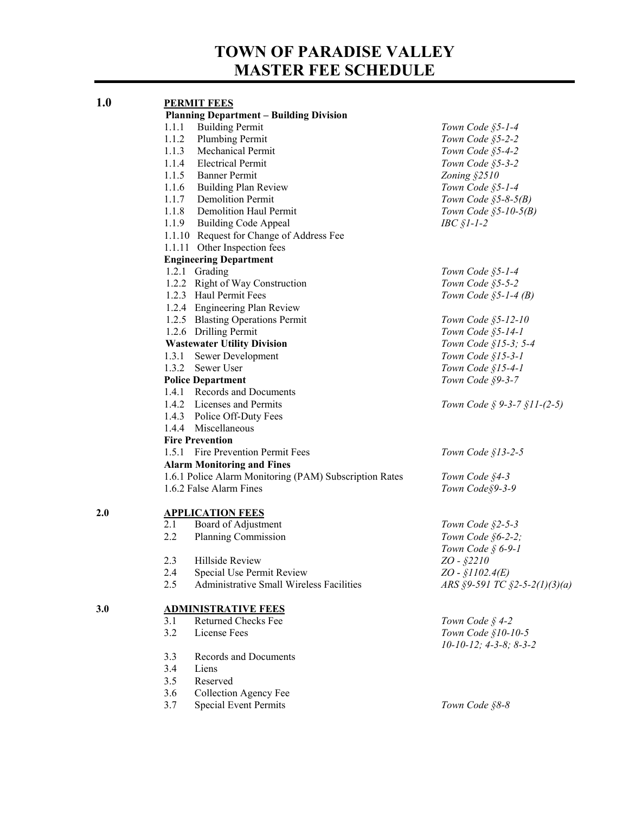# **TOWN OF PARADISE VALLEY MASTER FEE SCHEDULE**

| 1.0 | <b>PERMIT FEES</b>                                     |                                    |  |  |
|-----|--------------------------------------------------------|------------------------------------|--|--|
|     | <b>Planning Department - Building Division</b>         |                                    |  |  |
|     | <b>Building Permit</b><br>1.1.1                        | Town Code §5-1-4                   |  |  |
|     | 1.1.2<br><b>Plumbing Permit</b>                        | Town Code §5-2-2                   |  |  |
|     | Mechanical Permit<br>1.1.3                             | Town Code §5-4-2                   |  |  |
|     | 1.1.4<br><b>Electrical Permit</b>                      | Town Code §5-3-2                   |  |  |
|     | 1.1.5 Banner Permit                                    | Zoning §2510                       |  |  |
|     | 1.1.6 Building Plan Review                             | Town Code §5-1-4                   |  |  |
|     | 1.1.7 Demolition Permit                                | Town Code $$5-8-5(B)$              |  |  |
|     | 1.1.8 Demolition Haul Permit                           | Town Code $$5-10-5(B)$             |  |  |
|     | 1.1.9 Building Code Appeal                             | $\textit{IBC}\$ [-1-2              |  |  |
|     | 1.1.10 Request for Change of Address Fee               |                                    |  |  |
|     | 1.1.11 Other Inspection fees                           |                                    |  |  |
|     | <b>Engineering Department</b>                          |                                    |  |  |
|     | 1.2.1 Grading                                          | Town Code §5-1-4                   |  |  |
|     | 1.2.2 Right of Way Construction                        | Town Code §5-5-2                   |  |  |
|     | 1.2.3 Haul Permit Fees                                 | Town Code $$5-1-4(B)$              |  |  |
|     | 1.2.4 Engineering Plan Review                          |                                    |  |  |
|     | 1.2.5 Blasting Operations Permit                       | Town Code §5-12-10                 |  |  |
|     |                                                        |                                    |  |  |
|     | 1.2.6 Drilling Permit                                  | Town Code §5-14-1                  |  |  |
|     | <b>Wastewater Utility Division</b>                     | Town Code §15-3; 5-4               |  |  |
|     | 1.3.1<br>Sewer Development                             | Town Code §15-3-1                  |  |  |
|     | 1.3.2<br>Sewer User                                    | Town Code §15-4-1                  |  |  |
|     | Town Code §9-3-7<br><b>Police Department</b>           |                                    |  |  |
|     | 1.4.1 Records and Documents                            |                                    |  |  |
|     | 1.4.2 Licenses and Permits                             | Town Code $\S$ 9-3-7 $\S$ 11-(2-5) |  |  |
|     | 1.4.3 Police Off-Duty Fees                             |                                    |  |  |
|     | 1.4.4 Miscellaneous                                    |                                    |  |  |
|     | <b>Fire Prevention</b>                                 |                                    |  |  |
|     | Fire Prevention Permit Fees<br>1.5.1                   | Town Code $$13-2-5$                |  |  |
|     | <b>Alarm Monitoring and Fines</b>                      |                                    |  |  |
|     | 1.6.1 Police Alarm Monitoring (PAM) Subscription Rates | Town Code §4-3                     |  |  |
|     | 1.6.2 False Alarm Fines                                | Town Code§9-3-9                    |  |  |
| 2.0 | <b>APPLICATION FEES</b>                                |                                    |  |  |
|     | 2.1<br>Board of Adjustment                             | Town Code §2-5-3                   |  |  |
|     | 2.2<br>Planning Commission                             | Town Code §6-2-2;                  |  |  |
|     |                                                        | Town Code $\S$ 6-9-1               |  |  |
|     | 2.3<br>Hillside Review                                 | $ZO - $2210$                       |  |  |
|     | 2.4<br>Special Use Permit Review                       | $ZO - $1102.4(E)$                  |  |  |
|     | 2.5<br>Administrative Small Wireless Facilities        | ARS §9-591 TC §2-5-2(1)(3)(a)      |  |  |
| 3.0 | <b>ADMINISTRATIVE FEES</b>                             |                                    |  |  |
|     | Returned Checks Fee<br>3.1                             | Town Code § 4-2                    |  |  |
|     | 3.2<br>License Fees                                    | Town Code §10-10-5                 |  |  |
|     |                                                        | $10-10-12$ ; $4-3-8$ ; $8-3-2$     |  |  |
|     | <b>Records and Documents</b><br>3.3                    |                                    |  |  |
|     | 3.4<br>Liens                                           |                                    |  |  |
|     | 3.5<br>Reserved                                        |                                    |  |  |
|     | 3.6<br>Collection Agency Fee                           |                                    |  |  |
|     | 3.7<br><b>Special Event Permits</b>                    | Town Code §8-8                     |  |  |
|     |                                                        |                                    |  |  |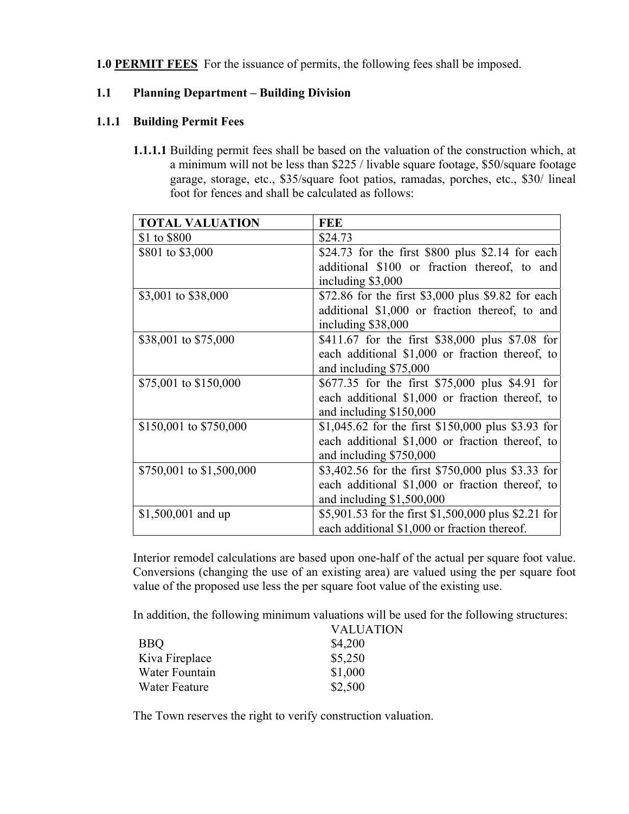**1.0 PERMIT FEES** For the issuance of permits, the following fees shall be imposed.

## **1.1 Planning Department – Building Division**

## **1.1.1 Building Permit Fees**

**1.1.1.1** Building permit fees shall be based on the valuation of the construction which, at a minimum will not be less than \$225 / livable square footage, \$50/square footage garage, storage, etc., \$35/square foot patios, ramadas, porches, etc., \$30/ lineal foot for fences and shall be calculated as follows:

| <b>TOTAL VALUATION</b>   | <b>FEE</b>                                           |  |
|--------------------------|------------------------------------------------------|--|
| \$1 to \$800             | \$24.73                                              |  |
| \$801 to \$3,000         | \$24.73 for the first $$800$ plus \$2.14 for each    |  |
|                          | additional \$100 or fraction thereof, to and         |  |
|                          | including \$3,000                                    |  |
| \$3,001 to \$38,000      | \$72.86 for the first \$3,000 plus \$9.82 for each   |  |
|                          | additional \$1,000 or fraction thereof, to and       |  |
|                          | including \$38,000                                   |  |
| \$38,001 to \$75,000     | \$411.67 for the first \$38,000 plus \$7.08 for      |  |
|                          | each additional \$1,000 or fraction thereof, to      |  |
|                          | and including \$75,000                               |  |
| \$75,001 to \$150,000    | \$677.35 for the first \$75,000 plus \$4.91 for      |  |
|                          | each additional \$1,000 or fraction thereof, to      |  |
|                          | and including \$150,000                              |  |
| \$150,001 to \$750,000   | \$1,045.62 for the first \$150,000 plus \$3.93 for   |  |
|                          | each additional \$1,000 or fraction thereof, to      |  |
|                          | and including \$750,000                              |  |
| \$750,001 to \$1,500,000 | \$3,402.56 for the first \$750,000 plus \$3.33 for   |  |
|                          | each additional \$1,000 or fraction thereof, to      |  |
|                          | and including \$1,500,000                            |  |
| $$1,500,001$ and up      | \$5,901.53 for the first \$1,500,000 plus \$2.21 for |  |
|                          | each additional \$1,000 or fraction thereof.         |  |

Interior remodel calculations are based upon one-half of the actual per square foot value. Conversions (changing the use of an existing area) are valued using the per square foot value of the proposed use less the per square foot value of the existing use.

In addition, the following minimum valuations will be used for the following structures:

|                | <b>VALUATION</b> |
|----------------|------------------|
| <b>BBQ</b>     | \$4,200          |
| Kiva Fireplace | \$5,250          |
| Water Fountain | \$1,000          |
| Water Feature  | \$2,500          |

The Town reserves the right to verify construction valuation.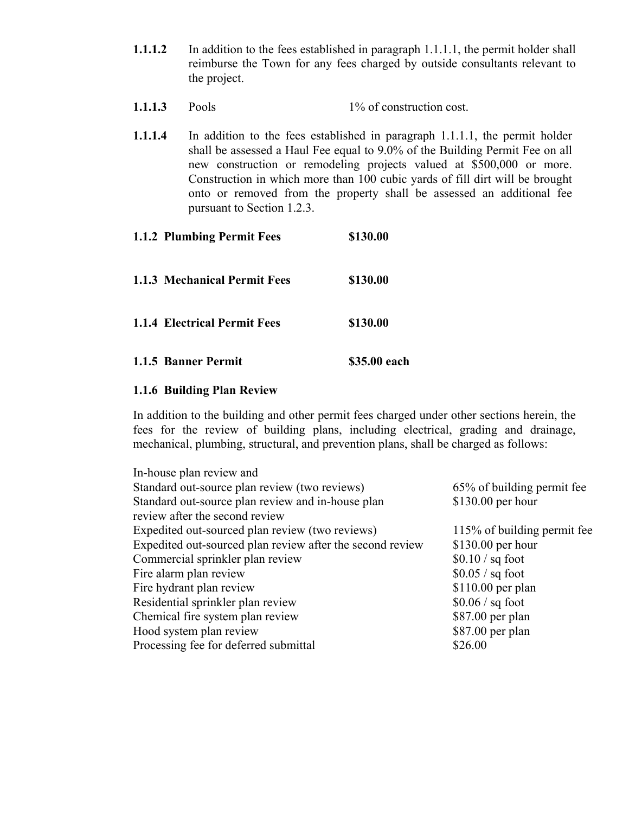- **1.1.1.2** In addition to the fees established in paragraph 1.1.1.1, the permit holder shall reimburse the Town for any fees charged by outside consultants relevant to the project.
- **1.1.1.3** Pools 1% of construction cost.
- **1.1.1.4** In addition to the fees established in paragraph 1.1.1.1, the permit holder shall be assessed a Haul Fee equal to 9.0% of the Building Permit Fee on all new construction or remodeling projects valued at \$500,000 or more. Construction in which more than 100 cubic yards of fill dirt will be brought onto or removed from the property shall be assessed an additional fee pursuant to Section 1.2.3.

# **1.1.2 Plumbing Permit Fees \$130.00 1.1.3 Mechanical Permit Fees \$130.00 1.1.4 Electrical Permit Fees \$130.00**

**1.1.5 Banner Permit \$35.00 each**

# **1.1.6 Building Plan Review**

In addition to the building and other permit fees charged under other sections herein, the fees for the review of building plans, including electrical, grading and drainage, mechanical, plumbing, structural, and prevention plans, shall be charged as follows:

| In-house plan review and                                  |                             |
|-----------------------------------------------------------|-----------------------------|
| Standard out-source plan review (two reviews)             | 65% of building permit fee  |
| Standard out-source plan review and in-house plan         | $$130.00$ per hour          |
| review after the second review                            |                             |
| Expedited out-sourced plan review (two reviews)           | 115% of building permit fee |
| Expedited out-sourced plan review after the second review | $$130.00$ per hour          |
| Commercial sprinkler plan review                          | $$0.10 / sq$ foot           |
| Fire alarm plan review                                    | $$0.05 / sq$ foot           |
| Fire hydrant plan review                                  | $$110.00$ per plan          |
| Residential sprinkler plan review                         | $$0.06 / sq$ foot           |
| Chemical fire system plan review                          | \$87.00 per plan            |
| Hood system plan review                                   | $$87.00$ per plan           |
| Processing fee for deferred submittal                     | \$26.00                     |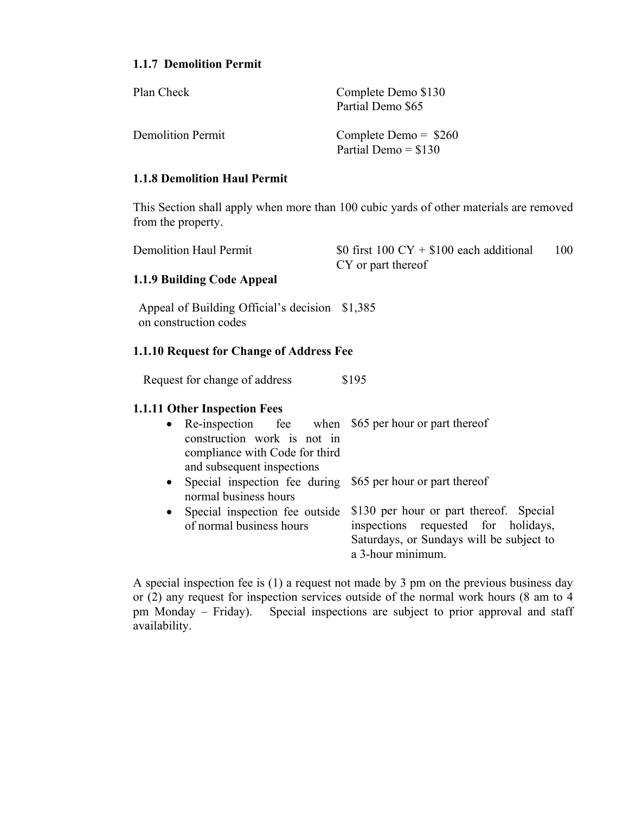## **1.1.7 Demolition Permit**

| Plan Check        | Complete Demo \$130<br>Partial Demo \$65        |
|-------------------|-------------------------------------------------|
| Demolition Permit | Complete Demo = $$260$<br>Partial Demo $= $130$ |

## **1.1.8 Demolition Haul Permit**

This Section shall apply when more than 100 cubic yards of other materials are removed from the property.

| <b>Demolition Haul Permit</b>                                                                            | \$0 first 100 $CY + $100$ each additional<br>100<br>CY or part thereof                                                                          |
|----------------------------------------------------------------------------------------------------------|-------------------------------------------------------------------------------------------------------------------------------------------------|
| 1.1.9 Building Code Appeal                                                                               |                                                                                                                                                 |
| Appeal of Building Official's decision \$1,385<br>on construction codes                                  |                                                                                                                                                 |
| 1.1.10 Request for Change of Address Fee                                                                 |                                                                                                                                                 |
| Request for change of address                                                                            | \$195                                                                                                                                           |
| <b>1.1.11 Other Inspection Fees</b>                                                                      |                                                                                                                                                 |
| $\bullet$<br>construction work is not in<br>compliance with Code for third<br>and subsequent inspections | Re-inspection fee when \$65 per hour or part thereof                                                                                            |
| Special inspection fee during<br>$\bullet$<br>normal business hours                                      | \$65 per hour or part thereof                                                                                                                   |
| Special inspection fee outside<br>$\bullet$<br>of normal business hours                                  | \$130 per hour or part thereof. Special<br>inspections requested for holidays,<br>Saturdays, or Sundays will be subject to<br>a 3-hour minimum. |

A special inspection fee is (1) a request not made by 3 pm on the previous business day or (2) any request for inspection services outside of the normal work hours (8 am to 4 pm Monday – Friday). Special inspections are subject to prior approval and staff availability.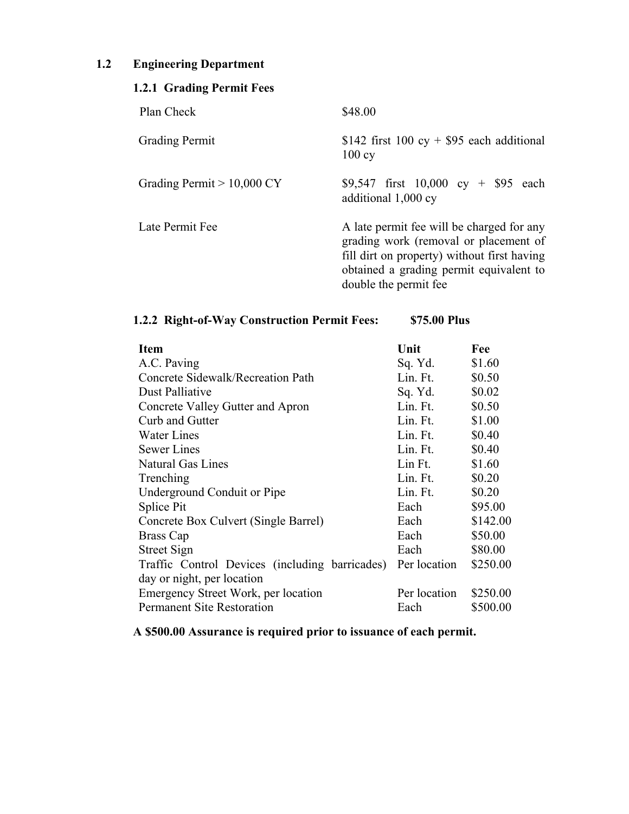# **1.2 Engineering Department**

| 1.2.1 Grading Permit Fees    |                                                                                                                                                                                                       |  |  |
|------------------------------|-------------------------------------------------------------------------------------------------------------------------------------------------------------------------------------------------------|--|--|
| Plan Check                   | \$48.00                                                                                                                                                                                               |  |  |
| <b>Grading Permit</b>        | \$142 first 100 cy + \$95 each additional<br>100cy                                                                                                                                                    |  |  |
| Grading Permit $> 10,000$ CY | \$9,547 first $10,000$ cy + \$95 each<br>additional 1,000 cy                                                                                                                                          |  |  |
| Late Permit Fee              | A late permit fee will be charged for any<br>grading work (removal or placement of<br>fill dirt on property) without first having<br>obtained a grading permit equivalent to<br>double the permit fee |  |  |

|  |  |  | 1.2.2 Right-of-Way Construction Permit Fees: | \$75.00 Plus |
|--|--|--|----------------------------------------------|--------------|
|--|--|--|----------------------------------------------|--------------|

| <b>Item</b>                                    | Unit         | Fee      |
|------------------------------------------------|--------------|----------|
| A.C. Paving                                    | Sq. Yd.      | \$1.60   |
| Concrete Sidewalk/Recreation Path              | Lin. Ft.     | \$0.50   |
| Dust Palliative                                | Sq. Yd.      | \$0.02   |
| Concrete Valley Gutter and Apron               | Lin. Ft.     | \$0.50   |
| Curb and Gutter                                | Lin. Ft.     | \$1.00   |
| <b>Water Lines</b>                             | Lin. Ft.     | \$0.40   |
| <b>Sewer Lines</b>                             | Lin. Ft.     | \$0.40   |
| <b>Natural Gas Lines</b>                       | Lin Ft.      | \$1.60   |
| Trenching                                      | Lin. Ft.     | \$0.20   |
| Underground Conduit or Pipe                    | Lin. Ft.     | \$0.20   |
| Splice Pit                                     | Each         | \$95.00  |
| Concrete Box Culvert (Single Barrel)           | Each         | \$142.00 |
| Brass Cap                                      | Each         | \$50.00  |
| <b>Street Sign</b>                             | Each         | \$80.00  |
| Traffic Control Devices (including barricades) | Per location | \$250.00 |
| day or night, per location                     |              |          |
| Emergency Street Work, per location            | Per location | \$250.00 |
| <b>Permanent Site Restoration</b>              | Each         | \$500.00 |

**A \$500.00 Assurance is required prior to issuance of each permit.**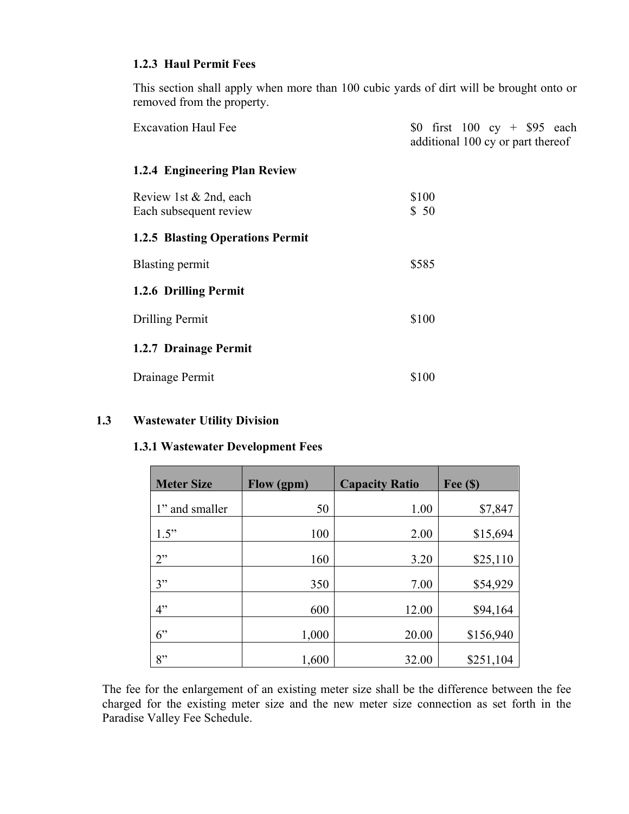## **1.2.3 Haul Permit Fees**

This section shall apply when more than 100 cubic yards of dirt will be brought onto or removed from the property.

| <b>Excavation Haul Fee</b>                       | \$0 first $100 \text{ cy} + $95 \text{ each}$<br>additional 100 cy or part thereof |
|--------------------------------------------------|------------------------------------------------------------------------------------|
| 1.2.4 Engineering Plan Review                    |                                                                                    |
| Review 1st & 2nd, each<br>Each subsequent review | \$100<br>\$50                                                                      |
| <b>1.2.5 Blasting Operations Permit</b>          |                                                                                    |
| Blasting permit                                  | \$585                                                                              |
| 1.2.6 Drilling Permit                            |                                                                                    |
| Drilling Permit                                  | \$100                                                                              |
| 1.2.7 Drainage Permit                            |                                                                                    |
| Drainage Permit                                  | \$100                                                                              |

## **1.3 Wastewater Utility Division**

#### **1.3.1 Wastewater Development Fees**

| <b>Meter Size</b> | Flow (gpm) | <b>Capacity Ratio</b> | Fee $(\$)$ |
|-------------------|------------|-----------------------|------------|
| 1" and smaller    | 50         | 1.00                  | \$7,847    |
| 1.5"              | 100        | 2.00                  | \$15,694   |
| 2"                | 160        | 3.20                  | \$25,110   |
| 3"                | 350        | 7.00                  | \$54,929   |
| 4"                | 600        | 12.00                 | \$94,164   |
| 6"                | 1,000      | 20.00                 | \$156,940  |
| 8"                | 1,600      | 32.00                 | \$251,104  |

The fee for the enlargement of an existing meter size shall be the difference between the fee charged for the existing meter size and the new meter size connection as set forth in the Paradise Valley Fee Schedule.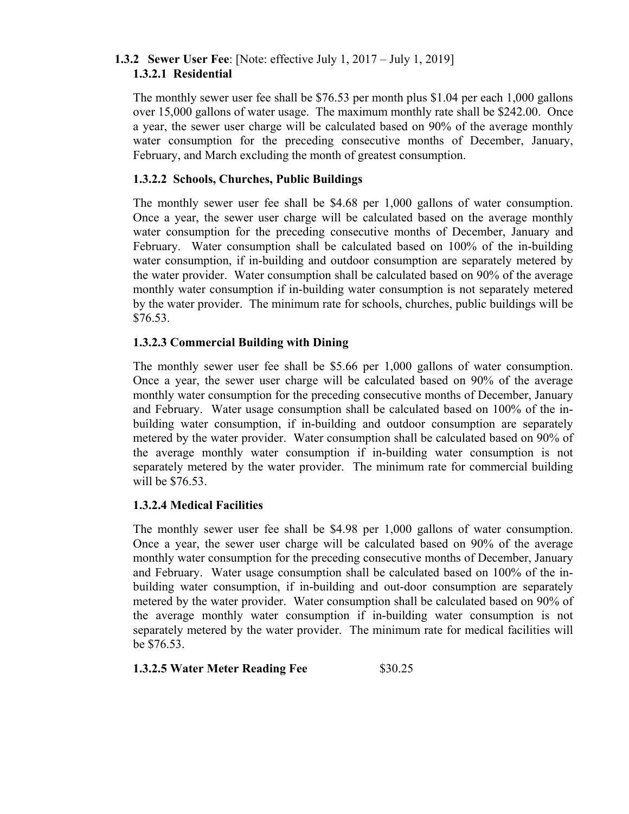## **1.3.2 Sewer User Fee**: [Note: effective July 1, 2017 – July 1, 2019] **1.3.2.1 Residential**

The monthly sewer user fee shall be \$76.53 per month plus \$1.04 per each 1,000 gallons over 15,000 gallons of water usage. The maximum monthly rate shall be \$242.00. Once a year, the sewer user charge will be calculated based on 90% of the average monthly water consumption for the preceding consecutive months of December, January, February, and March excluding the month of greatest consumption.

## **1.3.2.2 Schools, Churches, Public Buildings**

The monthly sewer user fee shall be \$4.68 per 1,000 gallons of water consumption. Once a year, the sewer user charge will be calculated based on the average monthly water consumption for the preceding consecutive months of December, January and February. Water consumption shall be calculated based on 100% of the in-building water consumption, if in-building and outdoor consumption are separately metered by the water provider. Water consumption shall be calculated based on 90% of the average monthly water consumption if in-building water consumption is not separately metered by the water provider. The minimum rate for schools, churches, public buildings will be \$76.53.

## **1.3.2.3 Commercial Building with Dining**

The monthly sewer user fee shall be \$5.66 per 1,000 gallons of water consumption. Once a year, the sewer user charge will be calculated based on 90% of the average monthly water consumption for the preceding consecutive months of December, January and February. Water usage consumption shall be calculated based on 100% of the inbuilding water consumption, if in-building and outdoor consumption are separately metered by the water provider. Water consumption shall be calculated based on 90% of the average monthly water consumption if in-building water consumption is not separately metered by the water provider. The minimum rate for commercial building will be \$76.53.

#### **1.3.2.4 Medical Facilities**

The monthly sewer user fee shall be \$4.98 per 1,000 gallons of water consumption. Once a year, the sewer user charge will be calculated based on 90% of the average monthly water consumption for the preceding consecutive months of December, January and February. Water usage consumption shall be calculated based on 100% of the inbuilding water consumption, if in-building and out-door consumption are separately metered by the water provider. Water consumption shall be calculated based on 90% of the average monthly water consumption if in-building water consumption is not separately metered by the water provider. The minimum rate for medical facilities will be \$76.53.

#### **1.3.2.5 Water Meter Reading Fee** \$30.25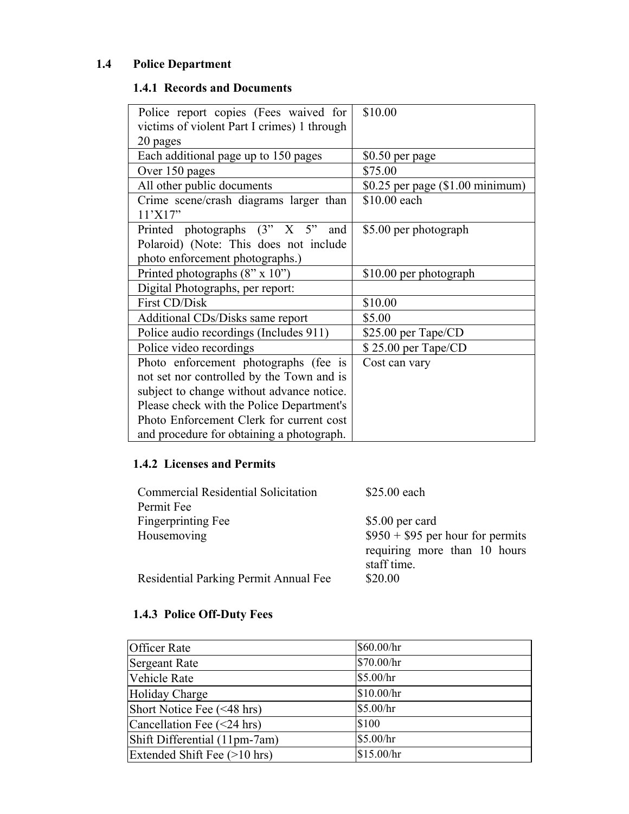# **1.4 Police Department**

# **1.4.1 Records and Documents**

| Police report copies (Fees waived for             | \$10.00                          |
|---------------------------------------------------|----------------------------------|
| victims of violent Part I crimes) 1 through       |                                  |
| 20 pages                                          |                                  |
| Each additional page up to 150 pages              | \$0.50 per page                  |
| Over 150 pages                                    | \$75.00                          |
| All other public documents                        | \$0.25 per page (\$1.00 minimum) |
| Crime scene/crash diagrams larger than<br>11'X17" | \$10.00 each                     |
| Printed photographs (3" X 5"<br>and               | \$5.00 per photograph            |
| Polaroid) (Note: This does not include            |                                  |
| photo enforcement photographs.)                   |                                  |
| Printed photographs $(8" \times 10")$             | \$10.00 per photograph           |
| Digital Photographs, per report:                  |                                  |
| First CD/Disk                                     | \$10.00                          |
| Additional CDs/Disks same report                  | \$5.00                           |
| Police audio recordings (Includes 911)            | \$25.00 per Tape/CD              |
| Police video recordings                           | \$25.00 per Tape/CD              |
| Photo enforcement photographs (fee is             | Cost can vary                    |
| not set nor controlled by the Town and is         |                                  |
| subject to change without advance notice.         |                                  |
| Please check with the Police Department's         |                                  |
| Photo Enforcement Clerk for current cost          |                                  |
| and procedure for obtaining a photograph.         |                                  |

# **1.4.2 Licenses and Permits**

| <b>Commercial Residential Solicitation</b> | \$25.00 each                      |
|--------------------------------------------|-----------------------------------|
| Permit Fee                                 |                                   |
| Fingerprinting Fee                         | \$5.00 per card                   |
| Housemoving                                | $$950 + $95$ per hour for permits |
|                                            | requiring more than 10 hours      |
|                                            | staff time.                       |
| Residential Parking Permit Annual Fee      | \$20.00                           |

# **1.4.3 Police Off-Duty Fees**

| <b>Officer Rate</b>              | \$60.00/hr |
|----------------------------------|------------|
| Sergeant Rate                    | \$70.00/hr |
| Vehicle Rate                     | \$5.00/hr  |
| Holiday Charge                   | \$10.00/hr |
| Short Notice Fee (<48 hrs)       | \$5.00/hr  |
| Cancellation Fee $(\leq 24$ hrs) | \$100      |
| Shift Differential (11pm-7am)    | \$5.00/hr  |
| Extended Shift Fee (>10 hrs)     | \$15.00/hr |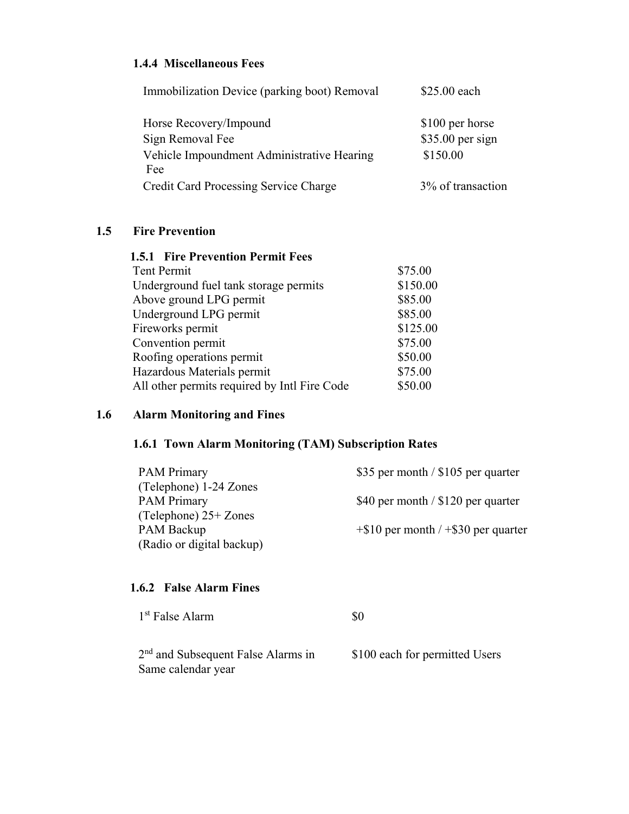## **1.4.4 Miscellaneous Fees**

| Immobilization Device (parking boot) Removal      | \$25.00 each                         |
|---------------------------------------------------|--------------------------------------|
| Horse Recovery/Impound<br>Sign Removal Fee        | \$100 per horse<br>$$35.00$ per sign |
| Vehicle Impoundment Administrative Hearing<br>Fee | \$150.00                             |
| Credit Card Processing Service Charge             | 3% of transaction                    |

## **1.5 Fire Prevention**

| <b>1.5.1 Fire Prevention Permit Fees</b>     |          |
|----------------------------------------------|----------|
| Tent Permit                                  | \$75.00  |
| Underground fuel tank storage permits        | \$150.00 |
| Above ground LPG permit                      | \$85.00  |
| Underground LPG permit                       | \$85.00  |
| Fireworks permit                             | \$125.00 |
| Convention permit                            | \$75.00  |
| Roofing operations permit                    | \$50.00  |
| Hazardous Materials permit                   | \$75.00  |
| All other permits required by Intl Fire Code | \$50.00  |

# **1.6 Alarm Monitoring and Fines**

# **1.6.1 Town Alarm Monitoring (TAM) Subscription Rates**

| <b>PAM Primary</b>        | \$35 per month / $$105$ per quarter       |
|---------------------------|-------------------------------------------|
| (Telephone) 1-24 Zones    |                                           |
| <b>PAM Primary</b>        | \$40 per month / $$120$ per quarter       |
| (Telephone) $25+Zones$    |                                           |
| PAM Backup                | $+$ \$10 per month / $+$ \$30 per quarter |
| (Radio or digital backup) |                                           |

## **1.6.2 False Alarm Fines**

| 1 <sup>st</sup> False Alarm                                          | 80                             |
|----------------------------------------------------------------------|--------------------------------|
| 2 <sup>nd</sup> and Subsequent False Alarms in<br>Same calendar year | \$100 each for permitted Users |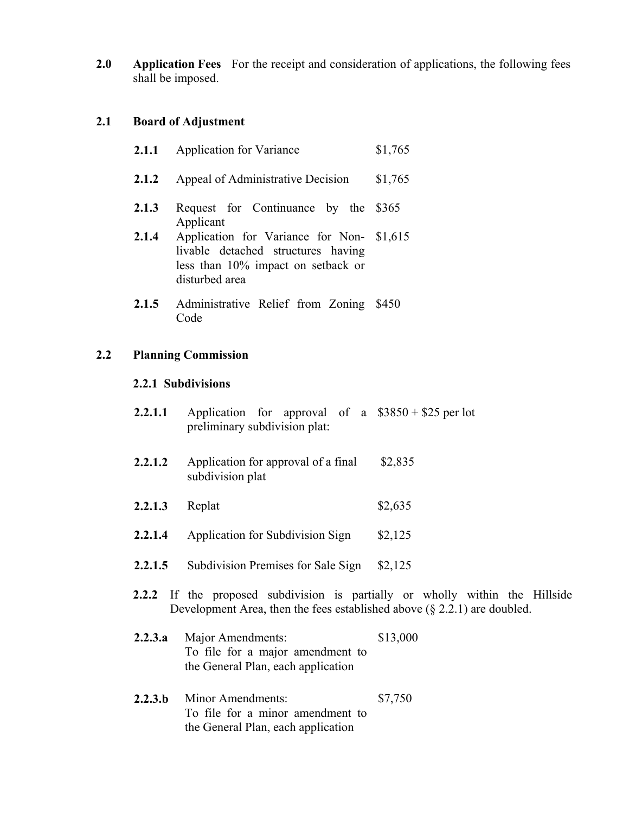**2.0 Application Fees** For the receipt and consideration of applications, the following fees shall be imposed.

### **2.1 Board of Adjustment**

| 2.1.1 | <b>Application for Variance</b>                                                                                                 | \$1,765 |
|-------|---------------------------------------------------------------------------------------------------------------------------------|---------|
| 2.1.2 | Appeal of Administrative Decision                                                                                               | \$1,765 |
| 2.1.3 | Request for Continuance by the<br>Applicant                                                                                     | \$365   |
| 2.1.4 | Application for Variance for Non-<br>livable detached structures having<br>less than 10% impact on setback or<br>disturbed area | \$1,615 |
| 2.1.5 | Administrative Relief from Zoning<br>Code                                                                                       | \$450   |

#### **2.2 Planning Commission**

#### **2.2.1 Subdivisions**

- **2.2.1.1** Application for approval of a \$3850 + \$25 per lot preliminary subdivision plat:
- **2.2.1.2** Application for approval of a final subdivision plat \$2,835
- **2.2.1.3** Replat \$2,635
- **2.2.1.4** Application for Subdivision Sign \$2,125
- 2.2.1.5 Subdivision Premises for Sale Sign \$2,125
- **2.2.2** If the proposed subdivision is partially or wholly within the Hillside Development Area, then the fees established above (§ 2.2.1) are doubled.
- **2.2.3.a** Major Amendments: To file for a major amendment to the General Plan, each application \$13,000
- **2.2.3.b** Minor Amendments: To file for a minor amendment to the General Plan, each application \$7,750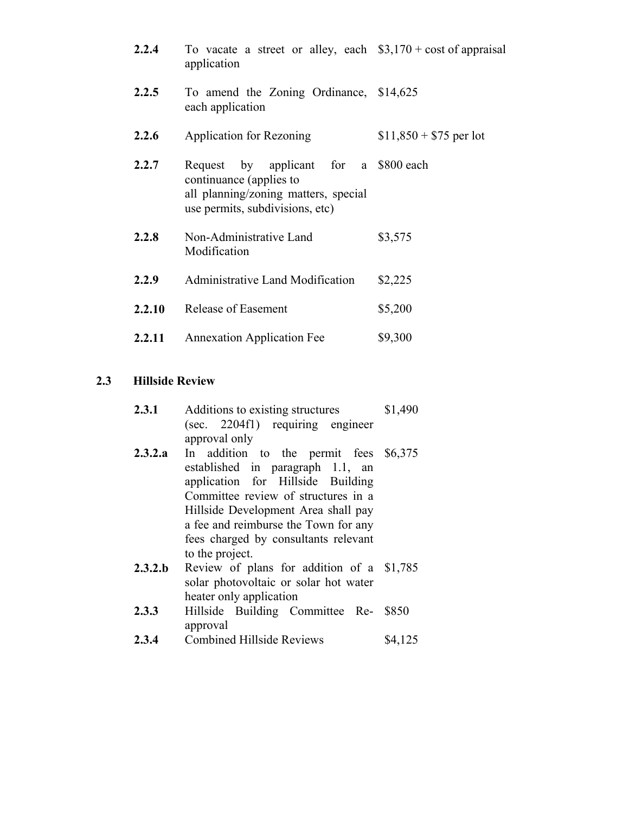| 2.2.4  | To vacate a street or alley, each $$3,170 + cost$ of appraisal<br>application                                                               |                         |
|--------|---------------------------------------------------------------------------------------------------------------------------------------------|-------------------------|
| 2.2.5  | To amend the Zoning Ordinance, \$14,625<br>each application                                                                                 |                         |
| 2.2.6  | Application for Rezoning                                                                                                                    | $$11,850 + $75$ per lot |
| 2.2.7  | Request by applicant for a \$800 each<br>continuance (applies to<br>all planning/zoning matters, special<br>use permits, subdivisions, etc) |                         |
| 2.2.8  | Non-Administrative Land<br>Modification                                                                                                     | \$3,575                 |
| 2.2.9  | Administrative Land Modification                                                                                                            | \$2,225                 |
| 2.2.10 | Release of Easement                                                                                                                         | \$5,200                 |
| 2.2.11 | <b>Annexation Application Fee</b>                                                                                                           | \$9,300                 |

# **2.3 Hillside Review**

| 2.3.1   | Additions to existing structures                                           | \$1,490 |
|---------|----------------------------------------------------------------------------|---------|
|         | (sec. 2204f1) requiring engineer                                           |         |
|         | approval only                                                              |         |
| 2.3.2.a | In addition to the permit fees \$6,375<br>established in paragraph 1.1, an |         |
|         | application for Hillside Building                                          |         |
|         | Committee review of structures in a                                        |         |
|         | Hillside Development Area shall pay                                        |         |
|         | a fee and reimburse the Town for any                                       |         |
|         | fees charged by consultants relevant                                       |         |
|         | to the project.                                                            |         |
| 2.3.2.b | Review of plans for addition of a \$1,785                                  |         |
|         | solar photovoltaic or solar hot water                                      |         |
|         | heater only application                                                    |         |
| 2.3.3   | Hillside Building Committee Re-                                            | \$850   |
|         | approval                                                                   |         |
| 2.3.4   | <b>Combined Hillside Reviews</b>                                           | \$4,125 |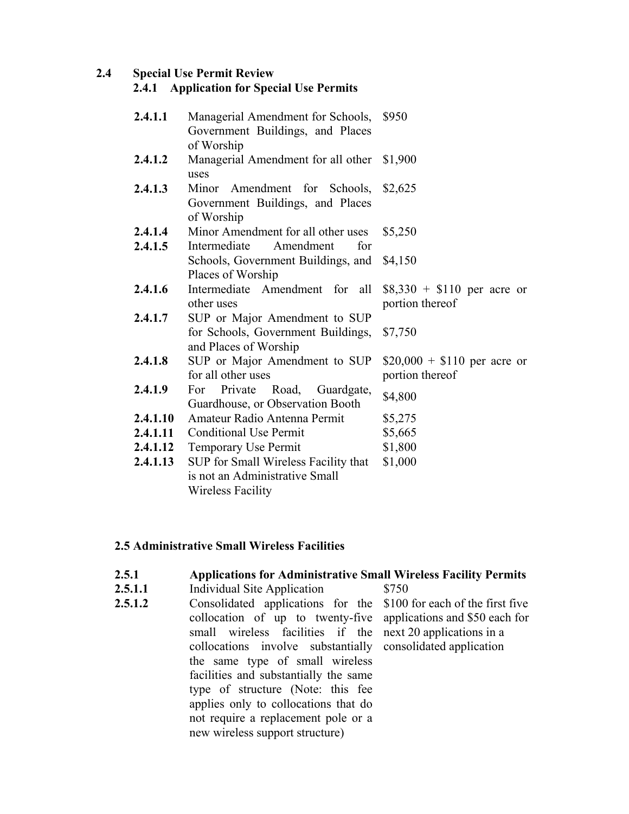#### **2.4 Special Use Permit Review**

#### **2.4.1 Application for Special Use Permits**

| 2.4.1.1  | Managerial Amendment for Schools, \$950<br>Government Buildings, and Places<br>of Worship |                              |
|----------|-------------------------------------------------------------------------------------------|------------------------------|
| 2.4.1.2  | Managerial Amendment for all other \$1,900<br>uses                                        |                              |
| 2.4.1.3  | Minor Amendment for Schools, \$2,625<br>Government Buildings, and Places<br>of Worship    |                              |
| 2.4.1.4  | Minor Amendment for all other uses                                                        | \$5,250                      |
| 2.4.1.5  | Intermediate<br>Amendment<br>for                                                          |                              |
|          | Schools, Government Buildings, and                                                        | \$4,150                      |
|          | Places of Worship                                                                         |                              |
| 2.4.1.6  | Intermediate Amendment for all                                                            | $$8,330 + $110$ per acre or  |
|          | other uses                                                                                | portion thereof              |
| 2.4.1.7  | SUP or Major Amendment to SUP                                                             |                              |
|          | for Schools, Government Buildings,                                                        | \$7,750                      |
|          | and Places of Worship                                                                     |                              |
| 2.4.1.8  | SUP or Major Amendment to SUP<br>for all other uses                                       | $$20,000 + $110$ per acre or |
| 2.4.1.9  | Private<br>For                                                                            | portion thereof              |
|          | Road,<br>Guardgate,<br>Guardhouse, or Observation Booth                                   | \$4,800                      |
| 2.4.1.10 | Amateur Radio Antenna Permit                                                              | \$5,275                      |
| 2.4.1.11 | <b>Conditional Use Permit</b>                                                             | \$5,665                      |
| 2.4.1.12 | Temporary Use Permit                                                                      | \$1,800                      |
| 2.4.1.13 | SUP for Small Wireless Facility that                                                      | \$1,000                      |
|          | is not an Administrative Small                                                            |                              |
|          |                                                                                           |                              |
|          | Wireless Facility                                                                         |                              |

## **2.5 Administrative Small Wireless Facilities**

## **2.5.1 Applications for Administrative Small Wireless Facility Permits**

- **2.5.1.1** Individual Site Application \$750
- **2.5.1.2** Consolidated applications for the collocation of up to twenty-five small wireless facilities if the collocations involve substantially the same type of small wireless facilities and substantially the same type of structure (Note: this fee applies only to collocations that do not require a replacement pole or a new wireless support structure) \$100 for each of the first five applications and \$50 each for next 20 applications in a consolidated application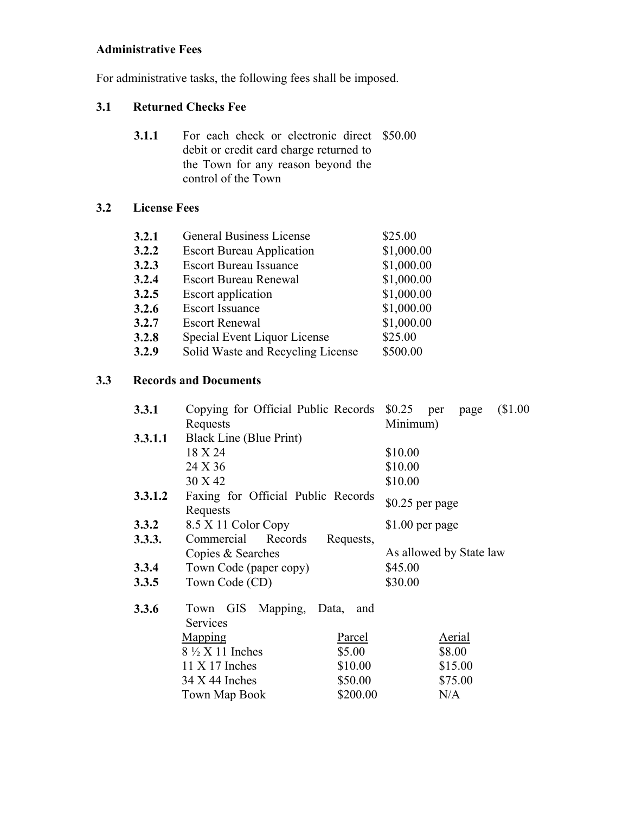# **Administrative Fees**

For administrative tasks, the following fees shall be imposed.

# **3.1 Returned Checks Fee**

| 3.1.1 | For each check or electronic direct \$50.00 |  |  |
|-------|---------------------------------------------|--|--|
|       | debit or credit card charge returned to     |  |  |
|       | the Town for any reason beyond the          |  |  |
|       | control of the Town                         |  |  |

# **3.2 License Fees**

| <b>General Business License</b>   | \$25.00    |
|-----------------------------------|------------|
| <b>Escort Bureau Application</b>  | \$1,000.00 |
| <b>Escort Bureau Issuance</b>     | \$1,000.00 |
| <b>Escort Bureau Renewal</b>      | \$1,000.00 |
| Escort application                | \$1,000.00 |
| <b>Escort Issuance</b>            | \$1,000.00 |
| <b>Escort Renewal</b>             | \$1,000.00 |
| Special Event Liquor License      | \$25.00    |
| Solid Waste and Recycling License | \$500.00   |
|                                   |            |

# **3.3 Records and Documents**

| Minimum)<br>Requests<br>Black Line (Blue Print)<br>3.3.1.1<br>18 X 24<br>\$10.00<br>\$10.00<br>24 X 36<br>30 X 42<br>\$10.00<br>3.3.1.2<br>Faxing for Official Public Records<br>$$0.25$ per page<br>Requests<br>8.5 X 11 Color Copy<br>3.3.2<br>$$1.00$ per page<br>Commercial<br>Records<br>3.3.3.<br>Requests,<br>As allowed by State law<br>Copies & Searches<br>Town Code (paper copy)<br>\$45.00<br>3.3.4<br>\$30.00<br>Town Code (CD)<br>3.3.5<br>3.3.6<br>Town GIS Mapping,<br>Data,<br>and | \$1.00<br>per page |  |          | Copying for Official Public Records \$0.25 | <b>3.3.1</b> |
|-----------------------------------------------------------------------------------------------------------------------------------------------------------------------------------------------------------------------------------------------------------------------------------------------------------------------------------------------------------------------------------------------------------------------------------------------------------------------------------------------------|--------------------|--|----------|--------------------------------------------|--------------|
|                                                                                                                                                                                                                                                                                                                                                                                                                                                                                                     |                    |  |          |                                            |              |
|                                                                                                                                                                                                                                                                                                                                                                                                                                                                                                     |                    |  |          |                                            |              |
|                                                                                                                                                                                                                                                                                                                                                                                                                                                                                                     |                    |  |          |                                            |              |
|                                                                                                                                                                                                                                                                                                                                                                                                                                                                                                     |                    |  |          |                                            |              |
|                                                                                                                                                                                                                                                                                                                                                                                                                                                                                                     |                    |  |          |                                            |              |
|                                                                                                                                                                                                                                                                                                                                                                                                                                                                                                     |                    |  |          |                                            |              |
|                                                                                                                                                                                                                                                                                                                                                                                                                                                                                                     |                    |  |          |                                            |              |
|                                                                                                                                                                                                                                                                                                                                                                                                                                                                                                     |                    |  |          |                                            |              |
|                                                                                                                                                                                                                                                                                                                                                                                                                                                                                                     |                    |  |          |                                            |              |
|                                                                                                                                                                                                                                                                                                                                                                                                                                                                                                     |                    |  |          |                                            |              |
|                                                                                                                                                                                                                                                                                                                                                                                                                                                                                                     |                    |  |          |                                            |              |
|                                                                                                                                                                                                                                                                                                                                                                                                                                                                                                     |                    |  |          |                                            |              |
|                                                                                                                                                                                                                                                                                                                                                                                                                                                                                                     |                    |  |          |                                            |              |
| Services                                                                                                                                                                                                                                                                                                                                                                                                                                                                                            |                    |  |          |                                            |              |
| Aerial<br><b>Mapping</b><br>Parcel                                                                                                                                                                                                                                                                                                                                                                                                                                                                  |                    |  |          |                                            |              |
| $8\frac{1}{2}$ X 11 Inches<br>\$5.00<br>\$8.00                                                                                                                                                                                                                                                                                                                                                                                                                                                      |                    |  |          |                                            |              |
| \$15.00<br>$11 X 17$ Inches<br>\$10.00                                                                                                                                                                                                                                                                                                                                                                                                                                                              |                    |  |          |                                            |              |
| \$75.00<br>$34$ X 44 Inches<br>\$50.00                                                                                                                                                                                                                                                                                                                                                                                                                                                              |                    |  |          |                                            |              |
|                                                                                                                                                                                                                                                                                                                                                                                                                                                                                                     | N/A                |  | \$200.00 | Town Map Book                              |              |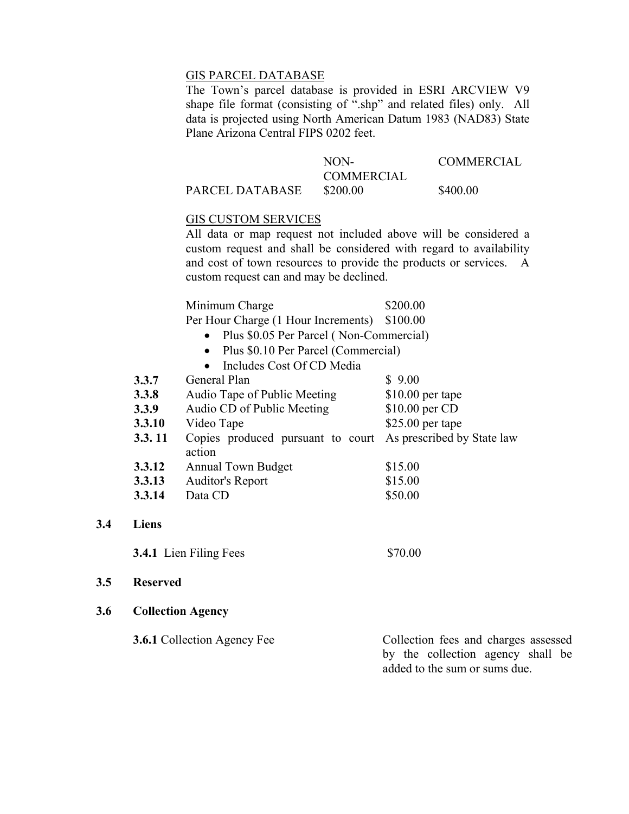## GIS PARCEL DATABASE

 The Town's parcel database is provided in ESRI ARCVIEW V9 shape file format (consisting of ".shp" and related files) only. All data is projected using North American Datum 1983 (NAD83) State Plane Arizona Central FIPS 0202 feet.

|                 | NON-       | <b>COMMERCIAL</b> |
|-----------------|------------|-------------------|
|                 | COMMERCIAL |                   |
| PARCEL DATABASE | \$200.00   | \$400.00          |

#### GIS CUSTOM SERVICES

 All data or map request not included above will be considered a custom request and shall be considered with regard to availability and cost of town resources to provide the products or services. A custom request can and may be declined.

| Minimum Charge                               | \$200.00 |
|----------------------------------------------|----------|
| Per Hour Charge (1 Hour Increments) \$100.00 |          |

• Plus \$0.05 Per Parcel ( Non-Commercial)

- Plus \$0.10 Per Parcel (Commercial)
- Includes Cost Of CD Media

| 3.3.7  | General Plan                                | \$9.00                     |
|--------|---------------------------------------------|----------------------------|
| 3.3.8  | Audio Tape of Public Meeting                | $$10.00$ per tape          |
| 3.3.9  | Audio CD of Public Meeting                  | \$10.00 per CD             |
| 3.3.10 | Video Tape                                  | $$25.00$ per tape          |
| 3.3.11 | Copies produced pursuant to court<br>action | As prescribed by State law |
| 3.3.12 | <b>Annual Town Budget</b>                   | \$15.00                    |
| 3.3.13 | Auditor's Report                            | \$15.00                    |
| 3.3.14 | Data CD                                     | \$50.00                    |

#### **3.4 Liens**

**3.4.1** Lien Filing Fees \$70.00

#### **3.5 Reserved**

#### **3.6 Collection Agency**

| <b>3.6.1</b> Collection Agency Fee | Collection fees and charges assessed |
|------------------------------------|--------------------------------------|
|                                    | by the collection agency shall be    |
|                                    | added to the sum or sums due.        |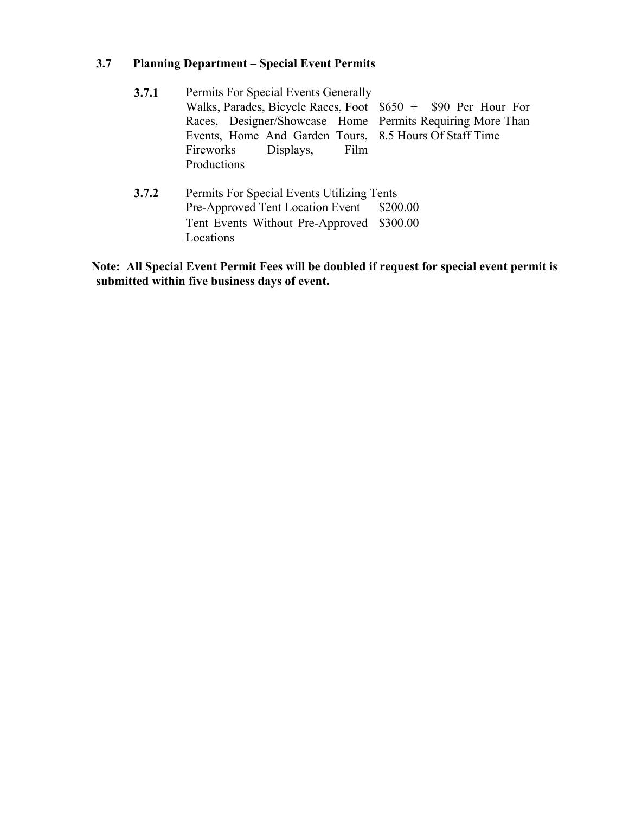# **3.7 Planning Department – Special Event Permits**

| 3.7.1 | Permits For Special Events Generally                          |  |  |  |  |
|-------|---------------------------------------------------------------|--|--|--|--|
|       | Walks, Parades, Bicycle Races, Foot $$650 + $90$ Per Hour For |  |  |  |  |
|       | Races, Designer/Showcase Home Permits Requiring More Than     |  |  |  |  |
|       | Events, Home And Garden Tours, 8.5 Hours Of Staff Time        |  |  |  |  |
|       | Fireworks Displays,<br>Film                                   |  |  |  |  |
|       | Productions                                                   |  |  |  |  |
| 3.7.2 | Permits For Special Events Utilizing Tents                    |  |  |  |  |
|       | Pre-Approved Tent Location Event \$200.00                     |  |  |  |  |
|       | Tent Events Without Pre-Approved \$300.00                     |  |  |  |  |
|       | Locations                                                     |  |  |  |  |

**Note: All Special Event Permit Fees will be doubled if request for special event permit is submitted within five business days of event.**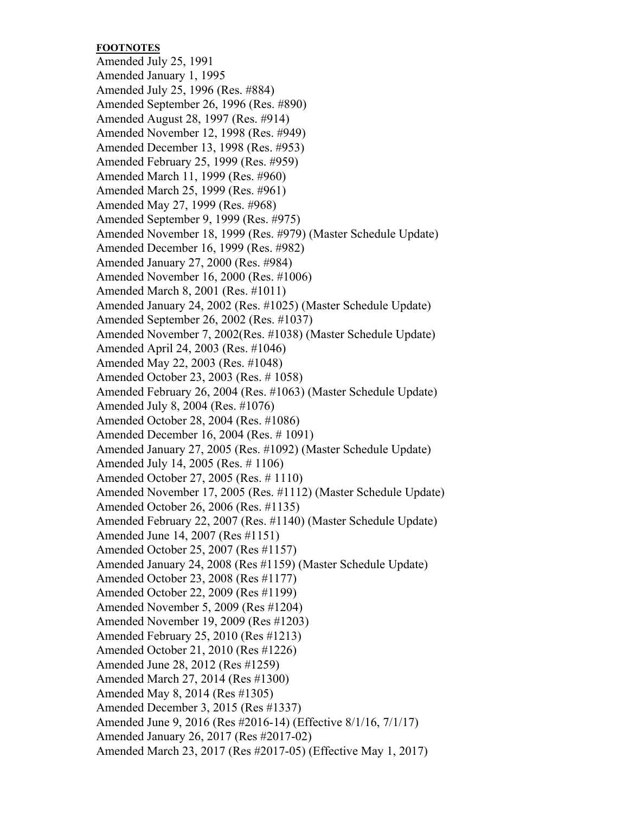### **FOOTNOTES**

Amended July 25, 1991 Amended January 1, 1995 Amended July 25, 1996 (Res. #884) Amended September 26, 1996 (Res. #890) Amended August 28, 1997 (Res. #914) Amended November 12, 1998 (Res. #949) Amended December 13, 1998 (Res. #953) Amended February 25, 1999 (Res. #959) Amended March 11, 1999 (Res. #960) Amended March 25, 1999 (Res. #961) Amended May 27, 1999 (Res. #968) Amended September 9, 1999 (Res. #975) Amended November 18, 1999 (Res. #979) (Master Schedule Update) Amended December 16, 1999 (Res. #982) Amended January 27, 2000 (Res. #984) Amended November 16, 2000 (Res. #1006) Amended March 8, 2001 (Res. #1011) Amended January 24, 2002 (Res. #1025) (Master Schedule Update) Amended September 26, 2002 (Res. #1037) Amended November 7, 2002(Res. #1038) (Master Schedule Update) Amended April 24, 2003 (Res. #1046) Amended May 22, 2003 (Res. #1048) Amended October 23, 2003 (Res. # 1058) Amended February 26, 2004 (Res. #1063) (Master Schedule Update) Amended July 8, 2004 (Res. #1076) Amended October 28, 2004 (Res. #1086) Amended December 16, 2004 (Res. # 1091) Amended January 27, 2005 (Res. #1092) (Master Schedule Update) Amended July 14, 2005 (Res. # 1106) Amended October 27, 2005 (Res. # 1110) Amended November 17, 2005 (Res. #1112) (Master Schedule Update) Amended October 26, 2006 (Res. #1135) Amended February 22, 2007 (Res. #1140) (Master Schedule Update) Amended June 14, 2007 (Res #1151) Amended October 25, 2007 (Res #1157) Amended January 24, 2008 (Res #1159) (Master Schedule Update) Amended October 23, 2008 (Res #1177) Amended October 22, 2009 (Res #1199) Amended November 5, 2009 (Res #1204) Amended November 19, 2009 (Res #1203) Amended February 25, 2010 (Res #1213) Amended October 21, 2010 (Res #1226) Amended June 28, 2012 (Res #1259) Amended March 27, 2014 (Res #1300) Amended May 8, 2014 (Res #1305) Amended December 3, 2015 (Res #1337) Amended June 9, 2016 (Res #2016-14) (Effective 8/1/16, 7/1/17) Amended January 26, 2017 (Res #2017-02) Amended March 23, 2017 (Res #2017-05) (Effective May 1, 2017)